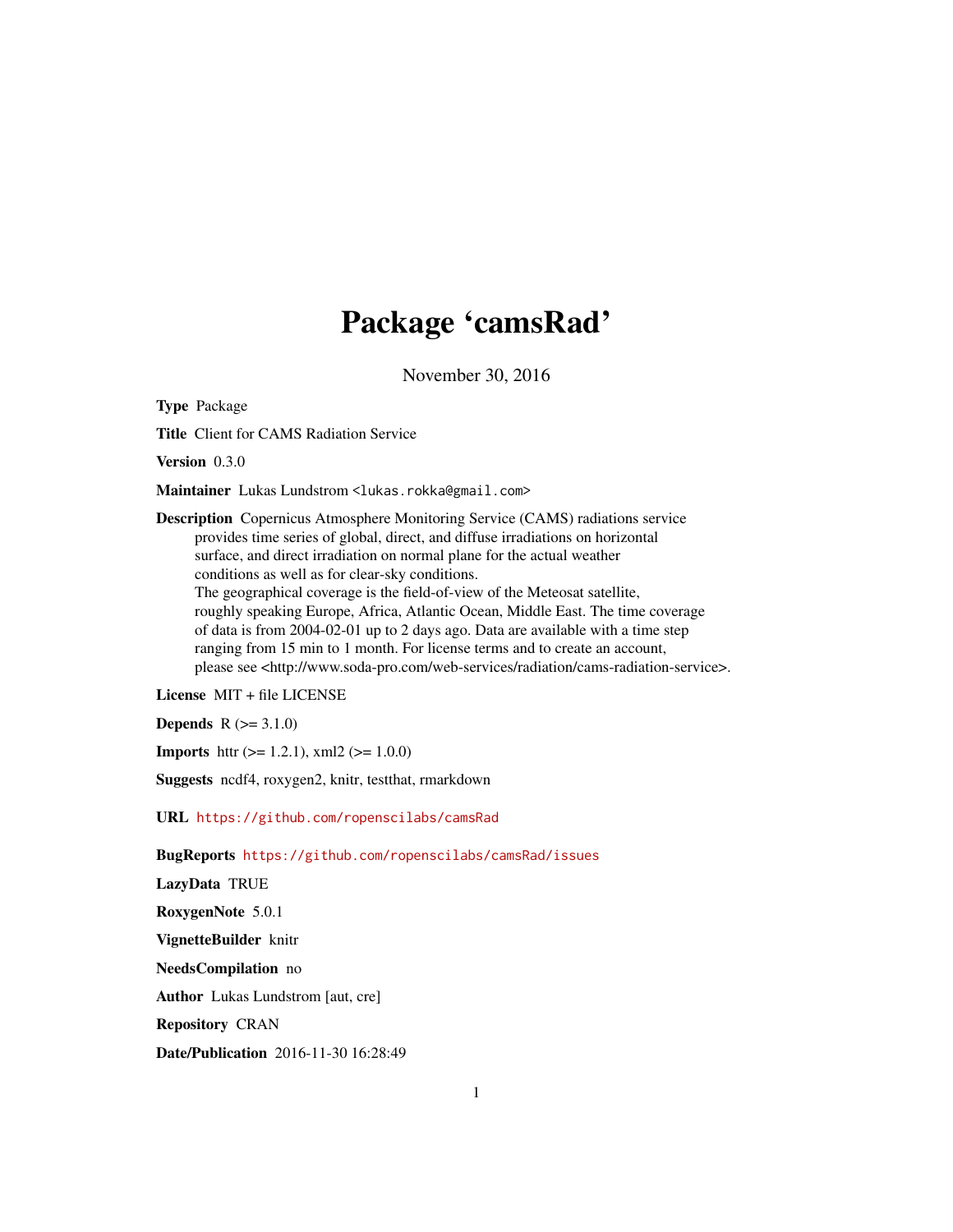## Package 'camsRad'

November 30, 2016

Type Package

Title Client for CAMS Radiation Service

Version 0.3.0

Maintainer Lukas Lundstrom <lukas.rokka@gmail.com>

Description Copernicus Atmosphere Monitoring Service (CAMS) radiations service provides time series of global, direct, and diffuse irradiations on horizontal surface, and direct irradiation on normal plane for the actual weather conditions as well as for clear-sky conditions. The geographical coverage is the field-of-view of the Meteosat satellite, roughly speaking Europe, Africa, Atlantic Ocean, Middle East. The time coverage of data is from 2004-02-01 up to 2 days ago. Data are available with a time step ranging from 15 min to 1 month. For license terms and to create an account, please see <http://www.soda-pro.com/web-services/radiation/cams-radiation-service>.

License MIT + file LICENSE

**Depends**  $R (= 3.1.0)$ 

**Imports** httr ( $>= 1.2.1$ ), xml2 ( $>= 1.0.0$ )

Suggests ncdf4, roxygen2, knitr, testthat, rmarkdown

URL <https://github.com/ropenscilabs/camsRad>

BugReports <https://github.com/ropenscilabs/camsRad/issues>

LazyData TRUE RoxygenNote 5.0.1 VignetteBuilder knitr NeedsCompilation no Author Lukas Lundstrom [aut, cre] Repository CRAN

Date/Publication 2016-11-30 16:28:49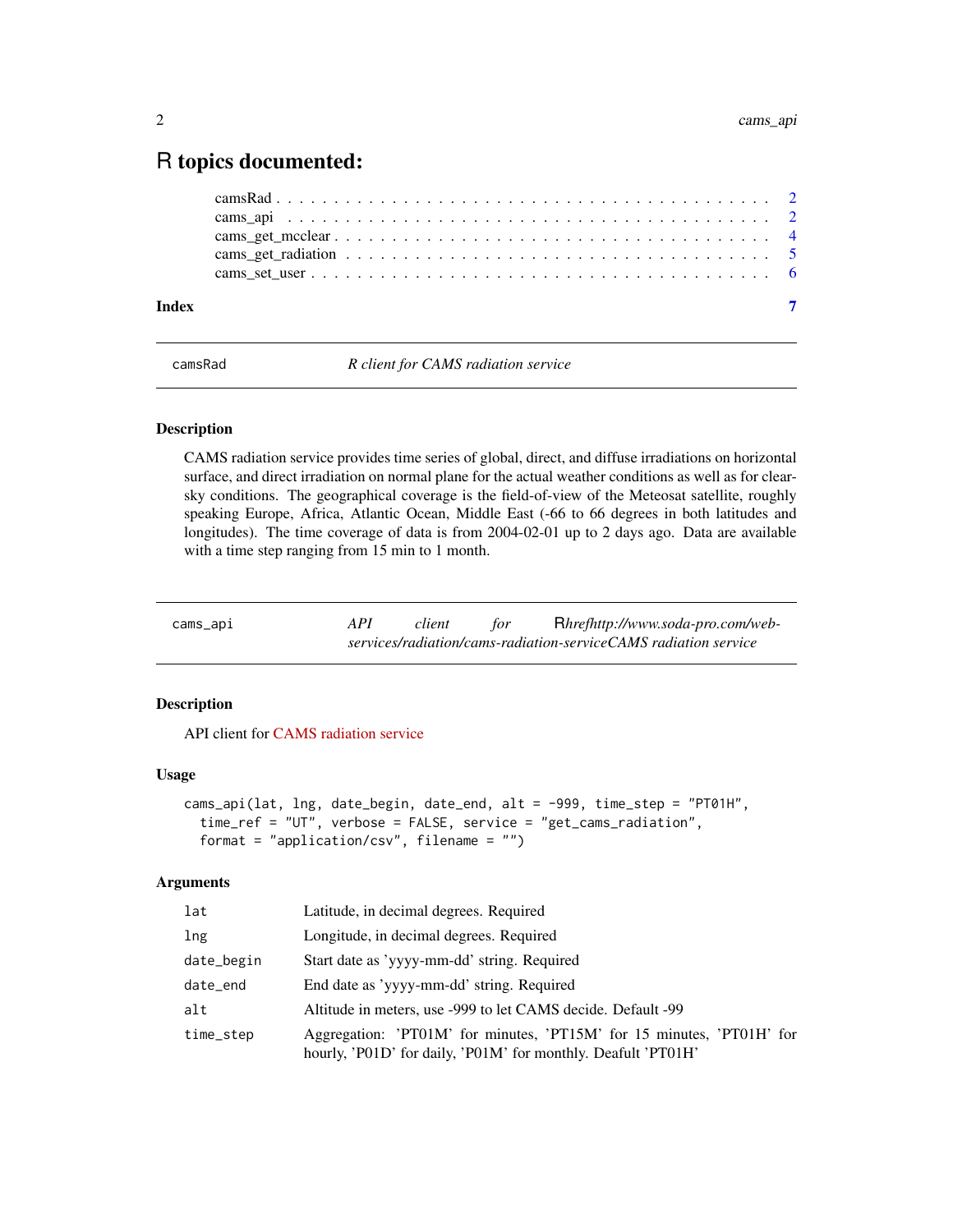### <span id="page-1-0"></span>R topics documented:

| Index |  |
|-------|--|
|       |  |
|       |  |
|       |  |
|       |  |
|       |  |

camsRad *R client for CAMS radiation service*

#### Description

CAMS radiation service provides time series of global, direct, and diffuse irradiations on horizontal surface, and direct irradiation on normal plane for the actual weather conditions as well as for clearsky conditions. The geographical coverage is the field-of-view of the Meteosat satellite, roughly speaking Europe, Africa, Atlantic Ocean, Middle East (-66 to 66 degrees in both latitudes and longitudes). The time coverage of data is from 2004-02-01 up to 2 days ago. Data are available with a time step ranging from 15 min to 1 month.

| cams_api | API | client | tor | Rhrefhttp://www.soda-pro.com/web-                               |
|----------|-----|--------|-----|-----------------------------------------------------------------|
|          |     |        |     | services/radiation/cams-radiation-serviceCAMS radiation service |

#### Description

API client for [CAMS radiation service](http://www.soda-pro.com/web-services/radiation/cams-radiation-service)

#### Usage

```
cams_api(lat, lng, date_begin, date_end, alt = -999, time_step = "PT01H",
  time_ref = "UT", verbose = FALSE, service = "get_cams_radiation",
  format = "application/csv", filename = "")
```
#### Arguments

| lat        | Latitude, in decimal degrees. Required                                                                                                 |
|------------|----------------------------------------------------------------------------------------------------------------------------------------|
| lng        | Longitude, in decimal degrees. Required                                                                                                |
| date_begin | Start date as 'yyyy-mm-dd' string. Required                                                                                            |
| date_end   | End date as 'yyyy-mm-dd' string. Required                                                                                              |
| alt        | Altitude in meters, use -999 to let CAMS decide. Default -99                                                                           |
| time_step  | Aggregation: 'PT01M' for minutes, 'PT15M' for 15 minutes, 'PT01H' for<br>hourly, 'P01D' for daily, 'P01M' for monthly. Deafult 'PT01H' |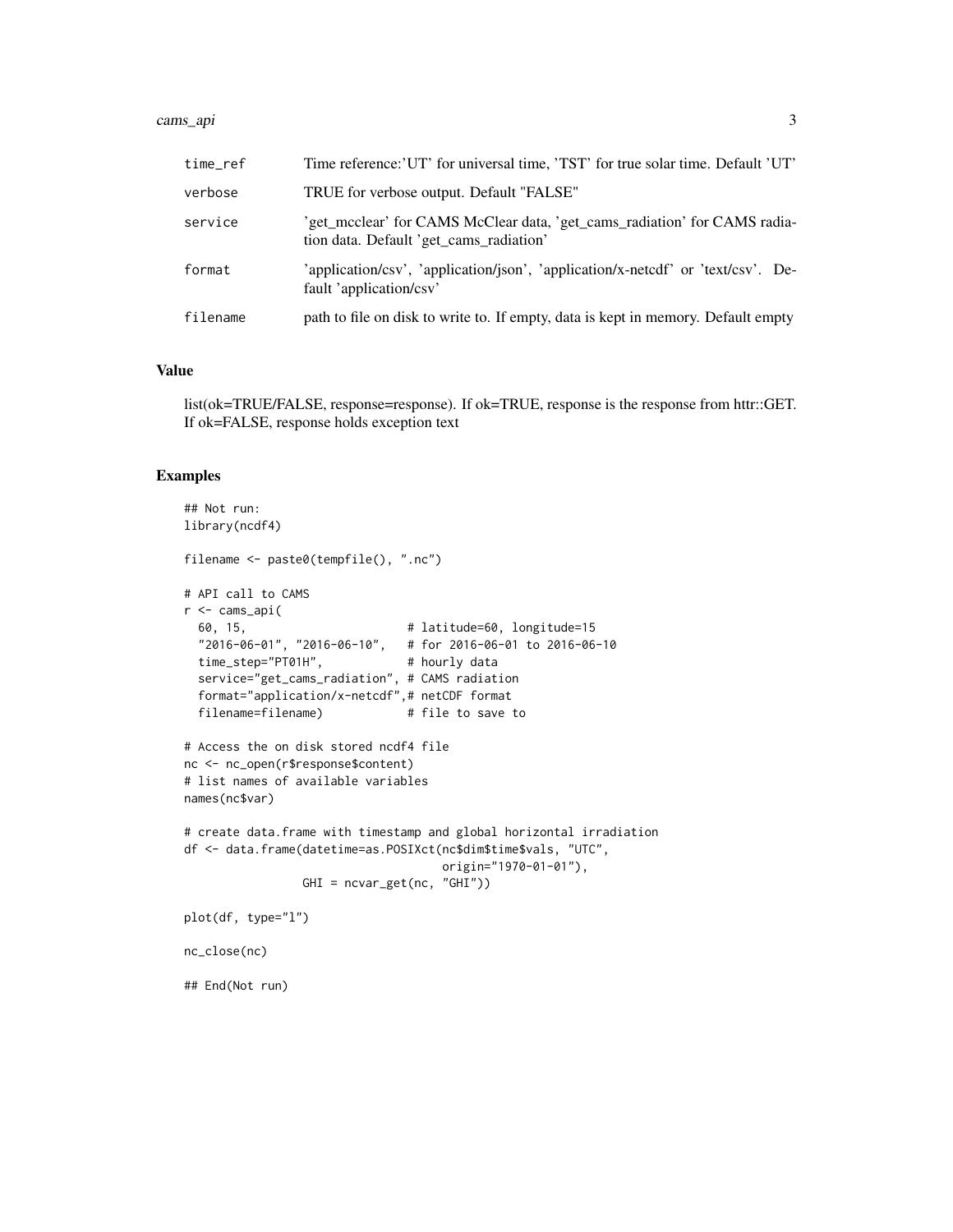#### cams\_api 3

| time ref | Time reference: 'UT' for universal time, 'TST' for true solar time. Default 'UT'                                     |
|----------|----------------------------------------------------------------------------------------------------------------------|
| verbose  | TRUE for verbose output. Default "FALSE"                                                                             |
| service  | 'get_mcclear' for CAMS McClear data, 'get_cams_radiation' for CAMS radia-<br>tion data. Default 'get_cams_radiation' |
| format   | 'application/csv', 'application/json', 'application/x-netedf' or 'text/csv'. De-<br>fault 'application/csv'          |
| filename | path to file on disk to write to. If empty, data is kept in memory. Default empty                                    |

#### Value

list(ok=TRUE/FALSE, response=response). If ok=TRUE, response is the response from httr::GET. If ok=FALSE, response holds exception text

#### Examples

```
## Not run:
library(ncdf4)
filename <- paste0(tempfile(), ".nc")
# API call to CAMS
r <- cams_api(
 60, 15, # latitude=60, longitude=15
 "2016-06-01", "2016-06-10", # for 2016-06-01 to 2016-06-10
 time_step="PT01H", # hourly data
 service="get_cams_radiation", # CAMS radiation
 format="application/x-netcdf",# netCDF format
 filename=filename) # file to save to
# Access the on disk stored ncdf4 file
nc <- nc_open(r$response$content)
# list names of available variables
names(nc$var)
# create data.frame with timestamp and global horizontal irradiation
df <- data.frame(datetime=as.POSIXct(nc$dim$time$vals, "UTC",
                                   origin="1970-01-01"),
                GHI = ncvar_get(nc, "GHI"))
plot(df, type="l")
nc_close(nc)
## End(Not run)
```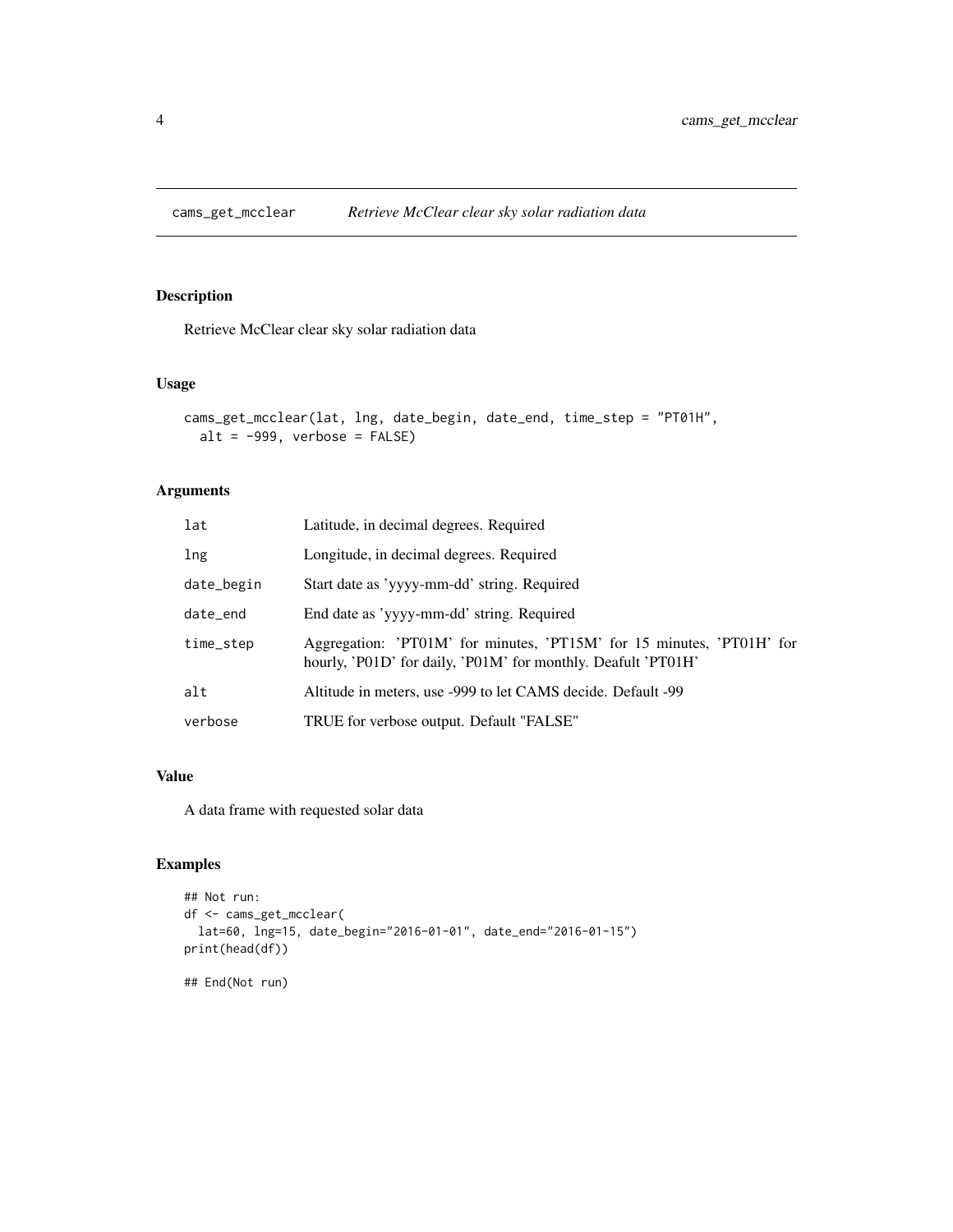<span id="page-3-0"></span>

#### Description

Retrieve McClear clear sky solar radiation data

#### Usage

```
cams_get_mcclear(lat, lng, date_begin, date_end, time_step = "PT01H",
 alt = -999, verbose = FALSE)
```
#### Arguments

| lat        | Latitude, in decimal degrees. Required                                                                                                 |
|------------|----------------------------------------------------------------------------------------------------------------------------------------|
| lng        | Longitude, in decimal degrees. Required                                                                                                |
| date_begin | Start date as 'yyyy-mm-dd' string. Required                                                                                            |
| date_end   | End date as 'yyyy-mm-dd' string. Required                                                                                              |
| time_step  | Aggregation: 'PT01M' for minutes, 'PT15M' for 15 minutes, 'PT01H' for<br>hourly, 'P01D' for daily, 'P01M' for monthly. Deafult 'PT01H' |
| alt        | Altitude in meters, use -999 to let CAMS decide. Default -99                                                                           |
| verbose    | TRUE for verbose output. Default "FALSE"                                                                                               |

#### Value

A data frame with requested solar data

#### Examples

```
## Not run:
df <- cams_get_mcclear(
  lat=60, lng=15, date_begin="2016-01-01", date_end="2016-01-15")
print(head(df))
```
## End(Not run)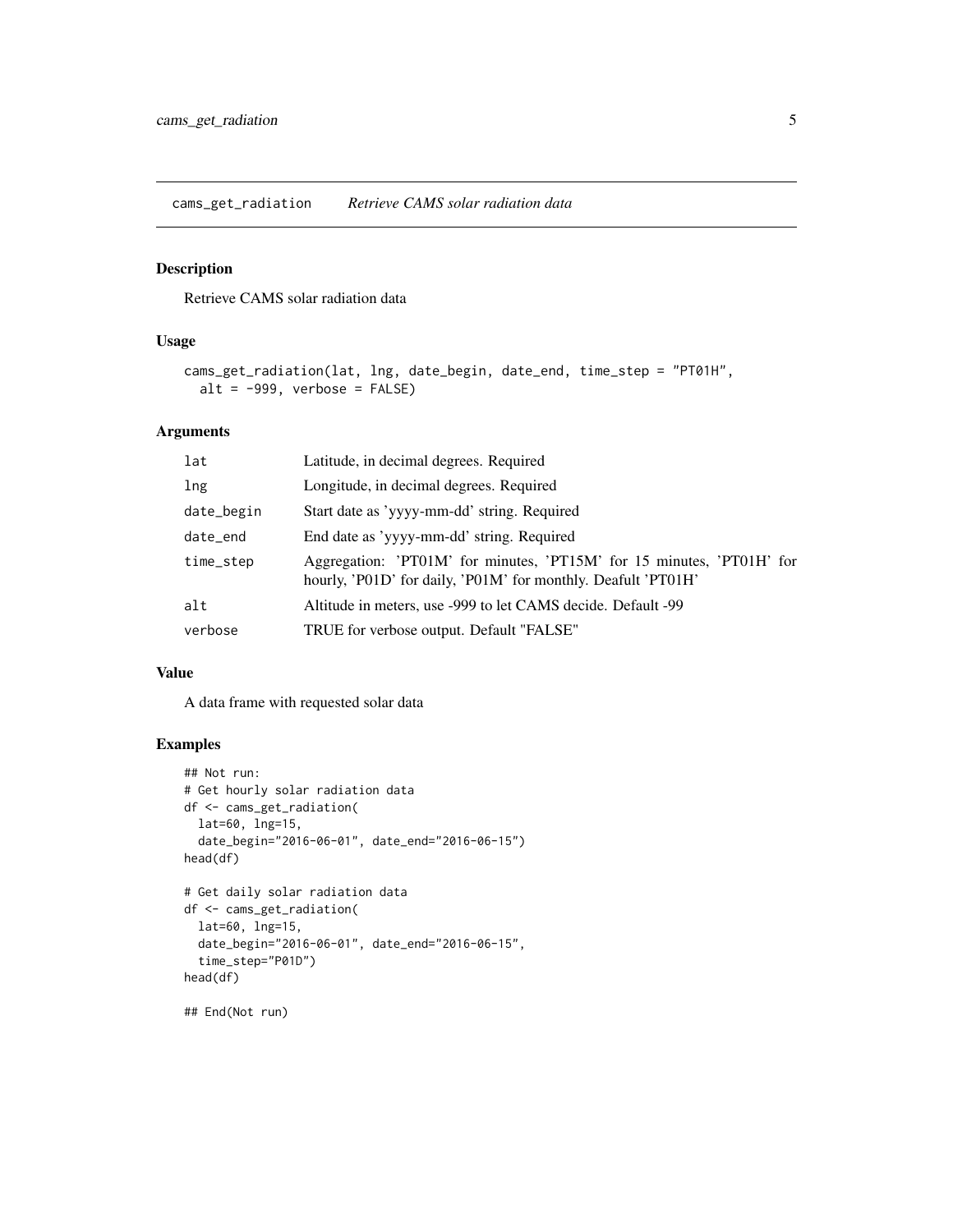<span id="page-4-0"></span>cams\_get\_radiation *Retrieve CAMS solar radiation data*

#### Description

Retrieve CAMS solar radiation data

#### Usage

```
cams_get_radiation(lat, lng, date_begin, date_end, time_step = "PT01H",
 alt = -999, verbose = FALSE)
```
#### Arguments

| lat        | Latitude, in decimal degrees. Required                                                                                                 |
|------------|----------------------------------------------------------------------------------------------------------------------------------------|
| lng        | Longitude, in decimal degrees. Required                                                                                                |
| date_begin | Start date as 'yyyy-mm-dd' string. Required                                                                                            |
| date_end   | End date as 'yyyy-mm-dd' string. Required                                                                                              |
| time_step  | Aggregation: 'PT01M' for minutes, 'PT15M' for 15 minutes, 'PT01H' for<br>hourly, 'P01D' for daily, 'P01M' for monthly. Deafult 'PT01H' |
| alt        | Altitude in meters, use -999 to let CAMS decide. Default -99                                                                           |
| verbose    | TRUE for verbose output. Default "FALSE"                                                                                               |

#### Value

A data frame with requested solar data

#### Examples

```
## Not run:
# Get hourly solar radiation data
df <- cams_get_radiation(
 lat=60, lng=15,
  date_begin="2016-06-01", date_end="2016-06-15")
head(df)
# Get daily solar radiation data
df <- cams_get_radiation(
  lat=60, lng=15,
  date_begin="2016-06-01", date_end="2016-06-15",
  time_step="P01D")
head(df)
```
## End(Not run)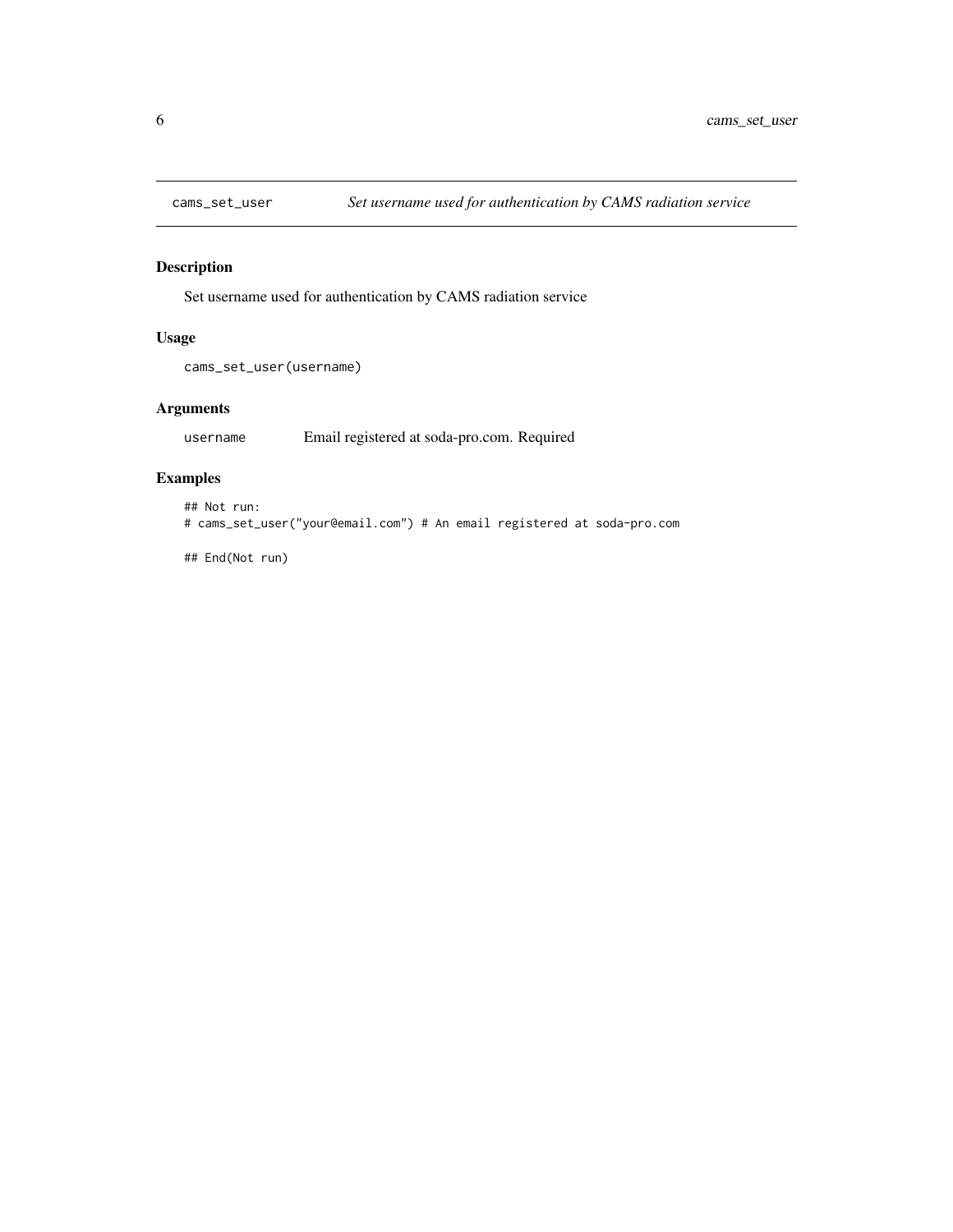<span id="page-5-0"></span>

#### Description

Set username used for authentication by CAMS radiation service

#### Usage

```
cams_set_user(username)
```
#### Arguments

username Email registered at soda-pro.com. Required

#### Examples

```
## Not run:
# cams_set_user("your@email.com") # An email registered at soda-pro.com
```
## End(Not run)